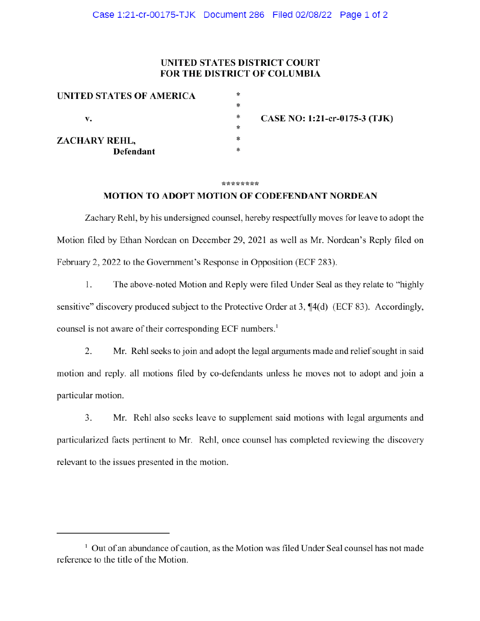# **UNITED STATES DISTRICT COURT FOR THE DISTRICT OF COLUMBIA**

| UNITED STATES OF AMERICA<br>v. | * |                               |
|--------------------------------|---|-------------------------------|
|                                | * |                               |
|                                | ∗ | CASE NO: 1:21-cr-0175-3 (TJK) |
|                                | ∗ |                               |
| ZACHARY REHL,                  | * |                               |
| <b>Defendant</b>               | * |                               |

#### \*\*\*\*\*\*\*\*

### **MOTION TO ADOPT MOTION OF CODEFENDANT NORDEAN**

Zachary Rehl, by his undersigned counsel, hereby respectfully moves for leave to adopt the Motion filed by Ethan Nordean on December 29, 2021 as well as Mr. Nordean's Reply filed on February 2, 2022 to the Government's Response in Opposition (ECF 283).

1. The above-noted Motion and Reply were filed Under Seal as they relate to "highly" sensitive" discovery produced subject to the Protective Order at 3, ¶4(d) (ECF 83). Accordingly, counsel is not aware of their corresponding ECF numbers.<sup>1</sup>

2. Mr. Rehl seeks to join and adopt the legal arguments made and relief sought in said motion and reply. all motions filed by co-defendants unless he moves not to adopt and join a particular motion.

3. Mr. Rehl also seeks leave to supplement said motions with legal arguments and particularized facts pertinent to Mr. Rehl, once counsel has completed reviewing the discovery relevant to the issues presented in the motion.

<sup>&</sup>lt;sup>1</sup> Out of an abundance of caution, as the Motion was filed Under Seal counsel has not made reference to the title of the Motion.